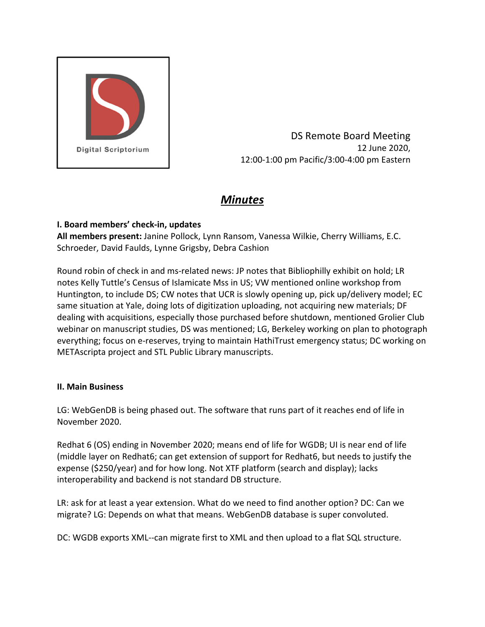

DS Remote Board Meeting 12 June 2020, 12:00‐1:00 pm Pacific/3:00‐4:00 pm Eastern

# *Minutes*

## **I. Board members' check‐in, updates**

**All members present:** Janine Pollock, Lynn Ransom, Vanessa Wilkie, Cherry Williams, E.C. Schroeder, David Faulds, Lynne Grigsby, Debra Cashion

Round robin of check in and ms‐related news: JP notes that Bibliophilly exhibit on hold; LR notes Kelly Tuttle's Census of Islamicate Mss in US; VW mentioned online workshop from Huntington, to include DS; CW notes that UCR is slowly opening up, pick up/delivery model; EC same situation at Yale, doing lots of digitization uploading, not acquiring new materials; DF dealing with acquisitions, especially those purchased before shutdown, mentioned Grolier Club webinar on manuscript studies, DS was mentioned; LG, Berkeley working on plan to photograph everything; focus on e‐reserves, trying to maintain HathiTrust emergency status; DC working on METAscripta project and STL Public Library manuscripts.

## **II. Main Business**

LG: WebGenDB is being phased out. The software that runs part of it reaches end of life in November 2020.

Redhat 6 (OS) ending in November 2020; means end of life for WGDB; UI is near end of life (middle layer on Redhat6; can get extension of support for Redhat6, but needs to justify the expense (\$250/year) and for how long. Not XTF platform (search and display); lacks interoperability and backend is not standard DB structure.

LR: ask for at least a year extension. What do we need to find another option? DC: Can we migrate? LG: Depends on what that means. WebGenDB database is super convoluted.

DC: WGDB exports XML‐‐can migrate first to XML and then upload to a flat SQL structure.